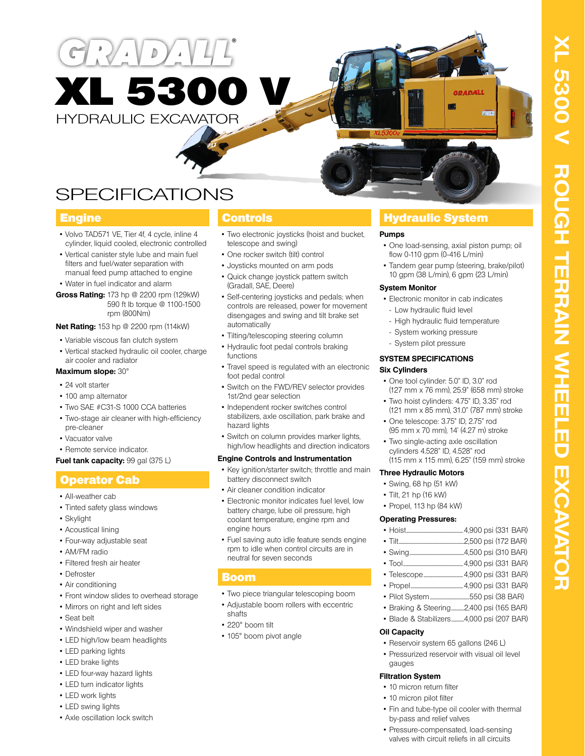

**SPECIFICATIONS** 

# **Engine**

- Volvo TAD571 VE, Tier 4f, 4 cycle, inline 4 cylinder, liquid cooled, electronic controlled
- Vertical canister style lube and main fuel filters and fuel/water separation with manual feed pump attached to engine

• Water in fuel indicator and alarm

**Gross Rating:** 173 hp @ 2200 rpm (129kW) 590 ft lb torque @ 1100-1500 rpm (800Nm)

## **Net Rating:** 153 hp @ 2200 rpm (114kW)

- Variable viscous fan clutch system
- Vertical stacked hydraulic oil cooler, charge air cooler and radiator

## **Maximum slope:** 30°

- 24 volt starter
- 100 amp alternator
- Two SAE #C31-S 1000 CCA batteries
- Two-stage air cleaner with high-efficiency pre-cleaner
- Vacuator valve
- Remote service indicator.

## **Fuel tank capacity: 99 gal (375 L)**

# Operator Cab

- All-weather cab
- Tinted safety glass windows
- Skylight
- Acoustical lining
- Four-way adjustable seat
- AM/FM radio
- Filtered fresh air heater
- Defroster
- Air conditioning
- Front window slides to overhead storage
- Mirrors on right and left sides
- Seat belt
- Windshield wiper and washer
- LED high/low beam headlights
- LED parking lights
- LED brake lights
- LED four-way hazard lights
- LED turn indicator lights
- LED work lights
- LED swing lights
- Axle oscillation lock switch

- Two electronic joysticks (hoist and bucket, telescope and swing)
- One rocker switch (tilt) control
- Joysticks mounted on arm pods
- Quick change joystick pattern switch (Gradall, SAE, Deere)
- Self-centering joysticks and pedals; when controls are released, power for movement disengages and swing and tilt brake set automatically
- Tilting/telescoping steering column
- Hydraulic foot pedal controls braking functions
- Travel speed is regulated with an electronic foot pedal control
- Switch on the FWD/REV selector provides 1st/2nd gear selection
- Independent rocker switches control stabilizers, axle oscillation, park brake and hazard lights
- Switch on column provides marker lights, high/low headlights and direction indicators

## **Engine Controls and Instrumentation**

- Key ignition/starter switch; throttle and main battery disconnect switch
- Air cleaner condition indicator
- Electronic monitor indicates fuel level, low battery charge, lube oil pressure, high coolant temperature, engine rpm and engine hours
- Fuel saving auto idle feature sends engine rpm to idle when control circuits are in neutral for seven seconds

# Boom

- Two piece triangular telescoping boom
- Adjustable boom rollers with eccentric shafts
- 220° boom tilt
- 105° boom pivot angle

# **Controls Controls Controls** Hydraulic System

## **Pumps**

• One load-sensing, axial piston pump; oil flow 0-110 gpm (0-416 L/min)

CRADAL

• Tandem gear pump (steering, brake/pilot) 10 gpm (38 L/min), 6 gpm (23 L/min)

## **System Monitor**

- Electronic monitor in cab indicates - Low hydraulic fluid level
- High hydraulic fluid temperature
- System working pressure
- System pilot pressure

## **SYSTEM SPECIFICATIONS**

## **Six Cylinders**

- One tool cylinder: 5.0" ID, 3.0" rod (127 mm x 76 mm), 25.9" (658 mm) stroke
- Two hoist cylinders: 4.75" ID, 3.35" rod (121 mm x 85 mm), 31.0" (787 mm) stroke
- One telescope: 3.75" ID, 2.75" rod (95 mm x 70 mm), 14' (4.27 m) stroke
- Two single-acting axle oscillation cylinders 4.528" ID, 4.528" rod (115 mm x 115 mm), 6.25" (159 mm) stroke

## **Three Hydraulic Motors**

- Swing, 68 hp (51 kW)
- Tilt, 21 hp (16 kW)
- Propel, 113 hp (84 kW)

## **Operating Pressures:**

- Hoist.....................................................4,900 psi (331 BAR)
- Tilt.............................................................2,500 psi (172 BAR)
- Swing...................................................4,500 psi (310 BAR)
- Tool........................................................4,900 psi (331 BAR)
- Telescope.....................................4,900 psi (331 BAR)
- Propel.................................................4,900 psi (331 BAR)
- Pilot System.....................................550 psi (38 BAR)
- Braking & Steering............2,400 psi (165 BAR) • Blade & Stabilizers............4,000 psi (207 BAR)

# **Oil Capacity**

- Reservoir system 65 gallons (246 L)
- Pressurized reservoir with visual oil level gauges

## **Filtration System**

- 10 micron return filter
- 10 micron pilot filter
- Fin and tube-type oil cooler with thermal by-pass and relief valves
- Pressure-compensated, load-sensing valves with circuit reliefs in all circuits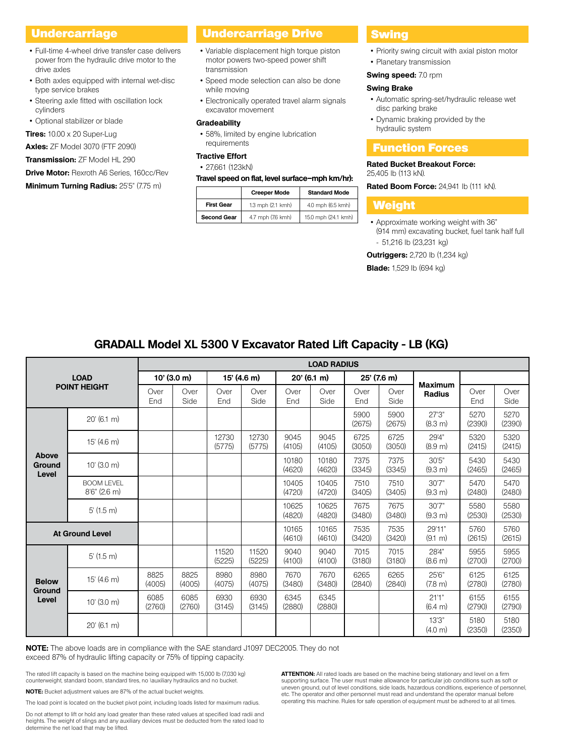- Full-time 4-wheel drive transfer case delivers power from the hydraulic drive motor to the drive axles
- Both axles equipped with internal wet-disc type service brakes
- Steering axle fitted with oscillation lock cylinders
- Optional stabilizer or blade

**Tires:** 10.00 x 20 Super-Lug

**Axles:** ZF Model 3070 (FTF 2090)

**Transmission:** ZF Model HL 290

**Drive Motor:** Rexroth A6 Series, 160cc/Rev

**Minimum Turning Radius:** 25'5" (7.75 m)

# Undercarriage **Drive Drive Basse** Undercarriage Drive <mark>Swing</mark>

- Variable displacement high torque piston motor powers two-speed power shift transmission
- Speed mode selection can also be done while moving
- Electronically operated travel alarm signals excavator movement

### **Gradeability**

• 58%, limited by engine lubrication requirements

# **Tractive Effort**

## • 27,661 (123kN)

## **Travel speed on flat, level surface–mph km/hr):**

|                    | <b>Creeper Mode</b> | <b>Standard Mode</b> |  |  |  |  |
|--------------------|---------------------|----------------------|--|--|--|--|
| <b>First Gear</b>  | 1.3 mph (2.1 kmh)   | 4.0 mph (6.5 kmh)    |  |  |  |  |
| <b>Second Gear</b> | 4.7 mph (7.6 kmh)   | 15.0 mph (24.1 kmh)  |  |  |  |  |

- Priority swing circuit with axial piston motor
- Planetary transmission

# **Swing speed:** 7.0 rpm

# **Swing Brake**

- Automatic spring-set/hydraulic release wet disc parking brake
- Dynamic braking provided by the hydraulic system

# Function Forces

### **Rated Bucket Breakout Force:**  25,405 lb (113 kN).

**Rated Boom Force: 24,941 lb (111 kN).** 

## Weight

• Approximate working weight with 36" (914 mm) excavating bucket, fuel tank half full - 51,216 lb (23,231 kg)

**Outriggers:** 2,720 lb (1,234 kg)

**Blade:** 1,529 lb (694 kg)

# **GRADALL Model XL 5300 V Excavator Rated Lift Capacity - LB (KG)**

| <b>LOAD</b><br><b>POINT HEIGHT</b> |                                      | <b>LOAD RADIUS</b> |                |                 |                 |                 |                 |                |                |                                 |                |                |
|------------------------------------|--------------------------------------|--------------------|----------------|-----------------|-----------------|-----------------|-----------------|----------------|----------------|---------------------------------|----------------|----------------|
|                                    |                                      | $10'$ (3.0 m)      |                | 15' (4.6 m)     |                 | $20'$ (6.1 m)   |                 | $25'$ (7.6 m)  |                |                                 |                |                |
|                                    |                                      | Over<br>End        | Over<br>Side   | Over<br>End     | Over<br>Side    | Over<br>End     | Over<br>Side    | Over<br>End    | Over<br>Side   | <b>Maximum</b><br><b>Radius</b> | Over<br>End    | Over<br>Side   |
| Above<br><b>Ground</b><br>Level    | $20'$ (6.1 m)                        |                    |                |                 |                 |                 |                 | 5900<br>(2675) | 5900<br>(2675) | 27'3''<br>(8.3 m)               | 5270<br>(2390) | 5270<br>(2390) |
|                                    | 15' (4.6 m)                          |                    |                | 12730<br>(5775) | 12730<br>(5775) | 9045<br>(4105)  | 9045<br>(4105)  | 6725<br>(3050) | 6725<br>(3050) | 29'4"<br>(8.9 m)                | 5320<br>(2415) | 5320<br>(2415) |
|                                    | $10'$ (3.0 m)                        |                    |                |                 |                 | 10180<br>(4620) | 10180<br>(4620) | 7375<br>(3345) | 7375<br>(3345) | 30'5"<br>(9.3 m)                | 5430<br>(2465) | 5430<br>(2465) |
|                                    | <b>BOOM LEVEL</b><br>$8'6''$ (2.6 m) |                    |                |                 |                 | 10405<br>(4720) | 10405<br>(4720) | 7510<br>(3405) | 7510<br>(3405) | 30'7"<br>(9.3 m)                | 5470<br>(2480) | 5470<br>(2480) |
|                                    | $5'$ (1.5 m)                         |                    |                |                 |                 | 10625<br>(4820) | 10625<br>(4820) | 7675<br>(3480) | 7675<br>(3480) | 30'7"<br>(9.3 m)                | 5580<br>(2530) | 5580<br>(2530) |
| <b>At Ground Level</b>             |                                      |                    |                |                 |                 | 10165<br>(4610) | 10165<br>(4610) | 7535<br>(3420) | 7535<br>(3420) | 29'11"<br>$(9.1 \text{ m})$     | 5760<br>(2615) | 5760<br>(2615) |
| <b>Below</b><br>Ground<br>Level    | $5'(1.5)$ m)                         |                    |                | 11520<br>(5225) | 11520<br>(5225) | 9040<br>(4100)  | 9040<br>(4100)  | 7015<br>(3180) | 7015<br>(3180) | 28'4"<br>$(8.6 \text{ m})$      | 5955<br>(2700) | 5955<br>(2700) |
|                                    | 15' (4.6 m)                          | 8825<br>(4005)     | 8825<br>(4005) | 8980<br>(4075)  | 8980<br>(4075)  | 7670<br>(3480)  | 7670<br>(3480)  | 6265<br>(2840) | 6265<br>(2840) | 25'6"<br>$(7.8 \text{ m})$      | 6125<br>(2780) | 6125<br>(2780) |
|                                    | $10'$ (3.0 m)                        | 6085<br>(2760)     | 6085<br>(2760) | 6930<br>(3145)  | 6930<br>(3145)  | 6345<br>(2880)  | 6345<br>(2880)  |                |                | 21'1"<br>(6.4 m)                | 6155<br>(2790) | 6155<br>(2790) |
|                                    | $20'$ (6.1 m)                        |                    |                |                 |                 |                 |                 |                |                | 13'3"<br>(4.0 m)                | 5180<br>(2350) | 5180<br>(2350) |

**NOTE:** The above loads are in compliance with the SAE standard J1097 DEC2005. They do not exceed 87% of hydraulic lifting capacity or 75% of tipping capacity.

The rated lift capacity is based on the machine being equipped with 15,000 lb (7,030 kg) counterweight, standard boom, standard tires, no \auxiliary hydraulics and no bucket.

**NOTE:** Bucket adjustment values are 87% of the actual bucket weights.

The load point is located on the bucket pivot point, including loads listed for maximum radius.

Do not attempt to lift or hold any load greater than these rated values at specified load radii and heights. The weight of slings and any auxiliary devices must be deducted from the rated load to determine the net load that may be lifted.

**ATTENTION:** All rated loads are based on the machine being stationary and level on a firm supporting surface. The user must make allowance for particular job conditions such as soft or uneven ground, out of level conditions, side loads, hazardous conditions, experience of personnel, etc. The operator and other personnel must read and understand the operator manual before operating this machine. Rules for safe operation of equipment must be adhered to at all times.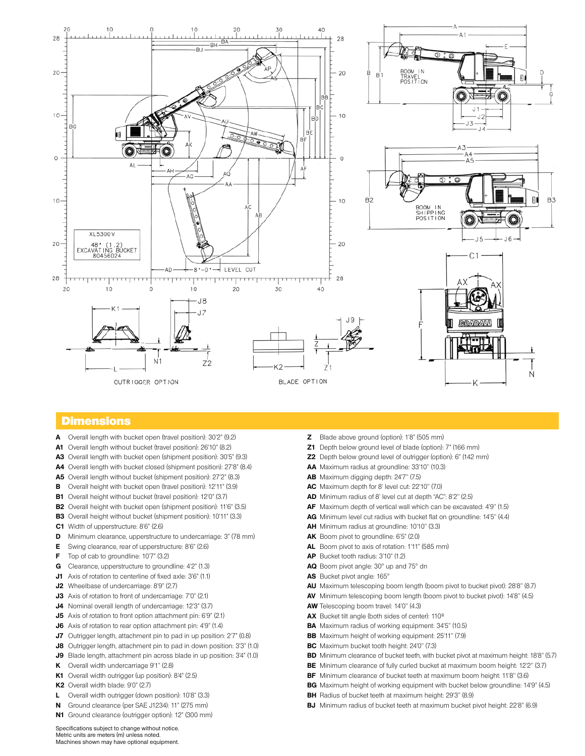

## **Dimensions**

- **A** Overall length with bucket open (travel position): 30'2" (9.2)
- **A1** Overall length without bucket (travel position): 26'10" (8.2)
- **A3** Overall length with bucket open (shipment position): 30'5" (9.3)
- **A4** Overall length with bucket closed (shipment position): 27'8" (8.4)
- **A5** Overall length without bucket (shipment position): 27'2" (8.3)
- **B** Overall height with bucket open (travel position): 12'11" (3.9)
- **B1** Overall height without bucket (travel position): 12'0" (3.7)
- **B2** Overall height with bucket open (shipment position): 11'6" (3.5)
- **B3** Overall height without bucket (shipment position): 10'11" (3.3)
- **C1** Width of upperstructure: 8'6" (2.6)
- **D** Minimum clearance, upperstructure to undercarriage: 3" (78 mm)
- **E** Swing clearance, rear of upperstructure: 8'6" (2.6)
- **F** Top of cab to groundline: 10'7" (3.2)
- **G** Clearance, upperstructure to groundline: 4'2" (1.3)
- **J1** Axis of rotation to centerline of fixed axle: 3'6" (1.1)
- **J2** Wheelbase of undercarriage: 8'9" (2.7)
- **J3** Axis of rotation to front of undercarriage: 7'0" (2.1)
- **J4** Nominal overall length of undercarriage: 12'3" (3.7)
- **J5** Axis of rotation to front option attachment pin: 6'9" (2.1)
- **J6** Axis of rotation to rear option attachment pin: 4'9" (1.4)
- **J7** Outrigger length, attachment pin to pad in up position: 2'7" (0.8)
- **J8** Outrigger length, attachment pin to pad in down position: 3'3" (1.0)
- **J9** Blade length, attachment pin across blade in up position: 3'4" (1.0)
- **K** Overall width undercarriage 9'1'' (2.8)
- **K1** Overall width outrigger (up position): 8'4" (2.5)
- **K2** Overall width blade: 9'0" (2.7)
- **L** Overall width outrigger (down position): 10'8" (3.3)
- **N** Ground clearance (per SAE J1234): 11" (275 mm)
- **N1** Ground clearance (outrigger option): 12" (300 mm)
- **Z** Blade above ground (option): 1'8" (505 mm)
- **Z1** Depth below ground level of blade (option): 7" (166 mm)
- **Z2** Depth below ground level of outrigger (option): 6" (142 mm)
- **AA** Maximum radius at groundline: 33'10'' (10.3)
- **AB** Maximum digging depth: 24'7'' (7.5)
- **AC** Maximum depth for 8' level cut: 22'10'' (7.0)
- **AD** Minimum radius of 8' level cut at depth "AC": 8'2'' (2.5)
- **AF** Maximum depth of vertical wall which can be excavated: 4'9'' (1.5)
- **AG** Minimum level cut radius with bucket flat on groundline: 14'5'' (4.4)
- **AH** Minimum radius at groundline: 10'10'' (3.3)
- **AK** Boom pivot to groundline: 6'5" (2.0)
- **AL** Boom pivot to axis of rotation: 1'11" (585 mm)
- **AP** Bucket tooth radius: 3'10" (1.2)
- **AQ** Boom pivot angle: 30° up and 75° dn
- **AS** Bucket pivot angle: 165°
- **AU** Maximum telescoping boom length (boom pivot to bucket pivot): 28'8'' (8.7)
- **AV** Minimum telescoping boom length (boom pivot to bucket pivot): 14'8'' (4.5)
- **AW** Telescoping boom travel: 14'0'' (4.3)
- **AX** Bucket tilt angle (both sides of center): 110º
- **BA** Maximum radius of working equipment: 34'5'' (10.5)
- **BB** Maximum height of working equipment: 25'11'' (7.9)
- **BC** Maximum bucket tooth height: 24'0'' (7.3)
- **BD** Minimum clearance of bucket teeth, with bucket pivot at maximum height: 18'8" (5.7)
- **BE** Minimum clearance of fully curled bucket at maximum boom height: 12'2" (3.7)
- **BF** Minimum clearance of bucket teeth at maximum boom height: 11'8'' (3.6)
- **BG** Maximum height of working equipment with bucket below groundline: 14'9" (4.5)
- **BH** Radius of bucket teeth at maximum height: 29'3'' (8.9)
- **BJ** Minimum radius of bucket teeth at maximum bucket pivot height: 22'8'' (6.9)

Specifications subject to change without notice. Metric units are meters (m) unless noted. Machines shown may have optional equipment.